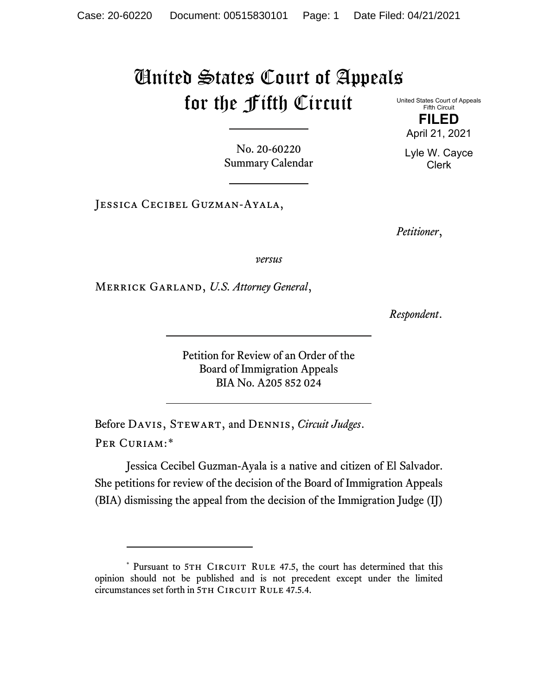## United States Court of Appeals for the Fifth Circuit United States Court of Appeals

No. 20-60220 Summary Calendar

Jessica Cecibel Guzman-Ayala,

*Petitioner*,

*versus*

Merrick Garland, *U.S. Attorney General*,

*Respondent*.

Petition for Review of an Order of the Board of Immigration Appeals BIA No. A205 852 024

Before Davis, Stewart, and Dennis, *Circuit Judges*. Per Curiam:[\\*](#page-0-0)

Jessica Cecibel Guzman-Ayala is a native and citizen of El Salvador. She petitions for review of the decision of the Board of Immigration Appeals (BIA) dismissing the appeal from the decision of the Immigration Judge (IJ)

Fifth Circuit **FILED** April 21, 2021

Lyle W. Cayce Clerk

<span id="page-0-0"></span><sup>\*</sup> Pursuant to 5TH CIRCUIT RULE 47.5, the court has determined that this opinion should not be published and is not precedent except under the limited circumstances set forth in 5TH CIRCUIT RULE 47.5.4.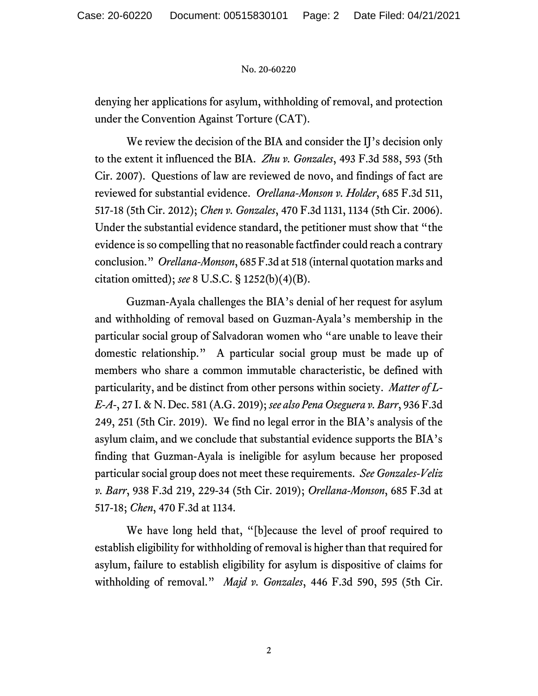## No. 20-60220

denying her applications for asylum, withholding of removal, and protection under the Convention Against Torture (CAT).

We review the decision of the BIA and consider the IJ's decision only to the extent it influenced the BIA. *Zhu v. Gonzales*, 493 F.3d 588, 593 (5th Cir. 2007). Questions of law are reviewed de novo, and findings of fact are reviewed for substantial evidence. *Orellana-Monson v. Holder*, 685 F.3d 511, 517-18 (5th Cir. 2012); *Chen v. Gonzales*, 470 F.3d 1131, 1134 (5th Cir. 2006). Under the substantial evidence standard, the petitioner must show that "the evidence is so compelling that no reasonable factfinder could reach a contrary conclusion." *Orellana-Monson*, 685 F.3d at 518 (internal quotation marks and citation omitted); *see* 8 U.S.C. § 1252(b)(4)(B).

Guzman-Ayala challenges the BIA's denial of her request for asylum and withholding of removal based on Guzman-Ayala's membership in the particular social group of Salvadoran women who "are unable to leave their domestic relationship." A particular social group must be made up of members who share a common immutable characteristic, be defined with particularity, and be distinct from other persons within society. *Matter of L-E-A-*, 27 I. & N. Dec. 581 (A.G. 2019); *see also Pena Oseguera v. Barr*, 936 F.3d 249, 251 (5th Cir. 2019). We find no legal error in the BIA's analysis of the asylum claim, and we conclude that substantial evidence supports the BIA's finding that Guzman-Ayala is ineligible for asylum because her proposed particular social group does not meet these requirements. *See Gonzales-Veliz v. Barr*, 938 F.3d 219, 229-34 (5th Cir. 2019); *Orellana-Monson*, 685 F.3d at 517-18; *Chen*, 470 F.3d at 1134.

We have long held that, "[b]ecause the level of proof required to establish eligibility for withholding of removal is higher than that required for asylum, failure to establish eligibility for asylum is dispositive of claims for withholding of removal." *Majd v. Gonzales*, 446 F.3d 590, 595 (5th Cir.